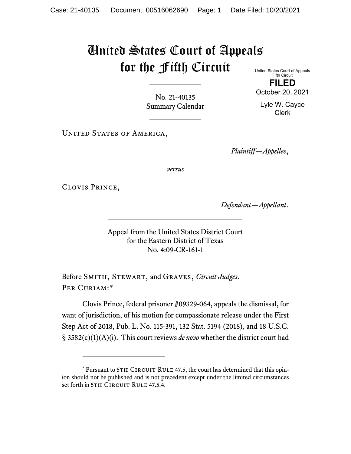## United States Court of Appeals for the Fifth Circuit

United States Court of Appeals Fifth Circuit

No. 21-40135 Summary Calendar

UNITED STATES OF AMERICA,

*Plaintiff—Appellee*,

*versus*

Clovis Prince,

*Defendant—Appellant*.

Appeal from the United States District Court for the Eastern District of Texas No. 4:09-CR-161-1

Before Smith, Stewart, and Graves, *Circuit Judges*. PER CURIAM:[\\*](#page-0-0)

Clovis Prince, federal prisoner #09329-064, appeals the dismissal, for want of jurisdiction, of his motion for compassionate release under the First Step Act of 2018, Pub. L. No. 115-391, 132 Stat. 5194 (2018), and 18 U.S.C. § 3582(c)(1)(A)(i). This court reviews *de novo* whether the district court had

**FILED** October 20, 2021

Lyle W. Cayce Clerk

<span id="page-0-0"></span> $*$  Pursuant to 5TH CIRCUIT RULE 47.5, the court has determined that this opinion should not be published and is not precedent except under the limited circumstances set forth in 5TH CIRCUIT RULE 47.5.4.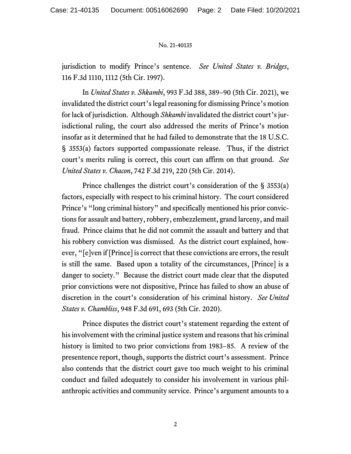## No. 21-40135

jurisdiction to modify Prince's sentence. *See United States v. Bridges*, 116 F.3d 1110, 1112 (5th Cir. 1997).

In *United States v. Shkambi*, 993 F.3d 388, 389−90 (5th Cir. 2021), we invalidated the district court's legal reasoning for dismissing Prince's motion for lack of jurisdiction. Although *Shkambi* invalidated the district court's jurisdictional ruling, the court also addressed the merits of Prince's motion insofar as it determined that he had failed to demonstrate that the 18 U.S.C. § 3553(a) factors supported compassionate release. Thus, if the district court's merits ruling is correct, this court can affirm on that ground. *See United States v. Chacon*, 742 F.3d 219, 220 (5th Cir. 2014).

Prince challenges the district court's consideration of the § 3553(a) factors, especially with respect to his criminal history. The court considered Prince's "long criminal history" and specifically mentioned his prior convictions for assault and battery, robbery, embezzlement, grand larceny, and mail fraud. Prince claims that he did not commit the assault and battery and that his robbery conviction was dismissed. As the district court explained, however, "[e]ven if [Prince] is correct that these convictions are errors, the result is still the same. Based upon a totality of the circumstances, [Prince] is a danger to society." Because the district court made clear that the disputed prior convictions were not dispositive, Prince has failed to show an abuse of discretion in the court's consideration of his criminal history. *See United States v. Chambliss*, 948 F.3d 691, 693 (5th Cir. 2020).

Prince disputes the district court's statement regarding the extent of his involvement with the criminal justice system and reasons that his criminal history is limited to two prior convictions from 1983−85. A review of the presentence report, though, supports the district court's assessment. Prince also contends that the district court gave too much weight to his criminal conduct and failed adequately to consider his involvement in various philanthropic activities and community service. Prince's argument amounts to a